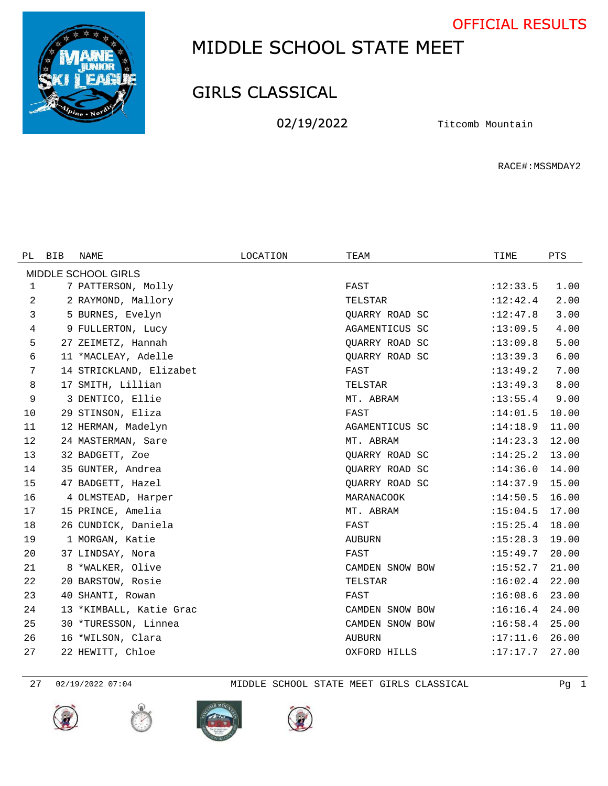OFFICIAL RESULTS



## MIDDLE SCHOOL STATE MEET

## GIRLS CLASSICAL

02/19/2022 Titcomb Mountain

RACE#:MSSMDAY2

| PL                  | BIB | <b>NAME</b>             | LOCATION | TEAM            | TIME       | PTS   |  |  |  |  |  |
|---------------------|-----|-------------------------|----------|-----------------|------------|-------|--|--|--|--|--|
| MIDDLE SCHOOL GIRLS |     |                         |          |                 |            |       |  |  |  |  |  |
| 1                   |     | 7 PATTERSON, Molly      |          | FAST            | :12:33.5   | 1.00  |  |  |  |  |  |
| 2                   |     | 2 RAYMOND, Mallory      |          | TELSTAR         | :12:42.4   | 2.00  |  |  |  |  |  |
| 3                   |     | 5 BURNES, Evelyn        |          | QUARRY ROAD SC  | :12:47.8   | 3.00  |  |  |  |  |  |
| 4                   |     | 9 FULLERTON, Lucy       |          | AGAMENTICUS SC  | :13:09.5   | 4.00  |  |  |  |  |  |
| 5                   |     | 27 ZEIMETZ, Hannah      |          | QUARRY ROAD SC  | :13:09.8   | 5.00  |  |  |  |  |  |
| 6                   |     | 11 *MACLEAY, Adelle     |          | QUARRY ROAD SC  | :13:39.3   | 6.00  |  |  |  |  |  |
| 7                   |     | 14 STRICKLAND, Elizabet |          | FAST            | :13:49.2   | 7.00  |  |  |  |  |  |
| 8                   |     | 17 SMITH, Lillian       |          | TELSTAR         | :13:49.3   | 8.00  |  |  |  |  |  |
| 9                   |     | 3 DENTICO, Ellie        |          | MT. ABRAM       | : 13: 55.4 | 9.00  |  |  |  |  |  |
| 10                  |     | 29 STINSON, Eliza       |          | FAST            | :14:01.5   | 10.00 |  |  |  |  |  |
| 11                  |     | 12 HERMAN, Madelyn      |          | AGAMENTICUS SC  | :14:18.9   | 11.00 |  |  |  |  |  |
| 12                  |     | 24 MASTERMAN, Sare      |          | MT. ABRAM       | :14:23.3   | 12.00 |  |  |  |  |  |
| 13                  |     | 32 BADGETT, Zoe         |          | QUARRY ROAD SC  | :14:25.2   | 13.00 |  |  |  |  |  |
| 14                  |     | 35 GUNTER, Andrea       |          | QUARRY ROAD SC  | :14:36.0   | 14.00 |  |  |  |  |  |
| 15                  |     | 47 BADGETT, Hazel       |          | QUARRY ROAD SC  | :14:37.9   | 15.00 |  |  |  |  |  |
| 16                  |     | 4 OLMSTEAD, Harper      |          | MARANACOOK      | :14:50.5   | 16.00 |  |  |  |  |  |
| 17                  |     | 15 PRINCE, Amelia       |          | MT. ABRAM       | :15:04.5   | 17.00 |  |  |  |  |  |
| 18                  |     | 26 CUNDICK, Daniela     |          | FAST            | :15:25.4   | 18.00 |  |  |  |  |  |
| 19                  |     | 1 MORGAN, Katie         |          | <b>AUBURN</b>   | :15:28.3   | 19.00 |  |  |  |  |  |
| 20                  |     | 37 LINDSAY, Nora        |          | FAST            | :15:49.7   | 20.00 |  |  |  |  |  |
| 21                  |     | 8 *WALKER, Olive        |          | CAMDEN SNOW BOW | :15:52.7   | 21.00 |  |  |  |  |  |
| 22                  |     | 20 BARSTOW, Rosie       |          | TELSTAR         | :16:02.4   | 22.00 |  |  |  |  |  |
| 23                  |     | 40 SHANTI, Rowan        |          | FAST            | :16:08.6   | 23.00 |  |  |  |  |  |
| 24                  |     | 13 *KIMBALL, Katie Grac |          | CAMDEN SNOW BOW | :16:16.4   | 24.00 |  |  |  |  |  |
| 25                  |     | 30 *TURESSON, Linnea    |          | CAMDEN SNOW BOW | :16:58.4   | 25.00 |  |  |  |  |  |
| 26                  |     | 16 *WILSON, Clara       |          | <b>AUBURN</b>   | :17:11.6   | 26.00 |  |  |  |  |  |
| 27                  |     | 22 HEWITT, Chloe        |          | OXFORD HILLS    | :17:17.7   | 27.00 |  |  |  |  |  |

02/19/2022 07:04 MIDDLE SCHOOL STATE MEET GIRLS CLASSICAL Pg 1